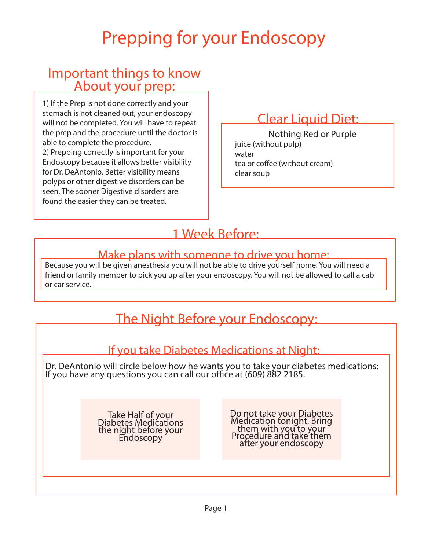## Prepping for your Endoscopy

# Important things to know About your prep:

1) If the Prep is not done correctly and your stomach is not cleaned out, your endoscopy will not be completed. You will have to repeat the prep and the procedure until the doctor is able to complete the procedure. 2) Prepping correctly is important for your Endoscopy because it allows better visibility for Dr. DeAntonio. Better visibility means polyps or other digestive disorders can be seen. The sooner Digestive disorders are found the easier they can be treated.

### Clear Liquid Diet:

juice (without pulp) water tea or coffee (without cream) clear soup Nothing Red or Purple

### 1 Week Before:

#### Make plans with someone to drive you home:

Because you will be given anesthesia you will not be able to drive yourself home. You will need a friend or family member to pick you up after your endoscopy. You will not be allowed to call a cab or car service.

### The Night Before your Endoscopy:

#### If you take Diabetes Medications at Night:

Dr. DeAntonio will circle below how he wants you to take your diabetes medications: If you have any questions you can call our office at (609) 882 2185.

> Take Half of your<br>Diabetes Medications the night before your Endoscopy

Do not take your Diabetes Medication tonight. Bring them with you to your Procedure and take them after your endoscopy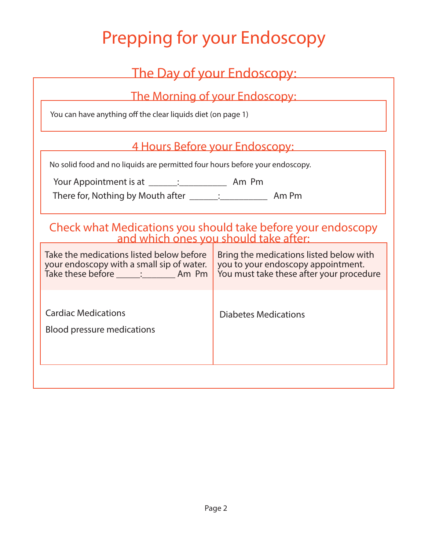## Prepping for your Endoscopy

| The Day of your Endoscopy:                                                                                                                                                     |                                                                                                                           |
|--------------------------------------------------------------------------------------------------------------------------------------------------------------------------------|---------------------------------------------------------------------------------------------------------------------------|
| <u> The Morning of your Endoscopy:</u><br>You can have anything off the clear liquids diet (on page 1)                                                                         |                                                                                                                           |
| <u>4 Hours Before your Endoscopy:</u><br>No solid food and no liquids are permitted four hours before your endoscopy.<br>Your Appointment is at ______: ________________ Am Pm |                                                                                                                           |
| Check what Medications you should take before your endoscopy<br>and which ones you should take after:                                                                          |                                                                                                                           |
| Take the medications listed below before<br>your endoscopy with a small sip of water.<br>Take these before ______: _________ Am Pm                                             | Bring the medications listed below with<br>you to your endoscopy appointment.<br>You must take these after your procedure |
| <b>Cardiac Medications</b><br><b>Blood pressure medications</b>                                                                                                                | <b>Diabetes Medications</b>                                                                                               |
|                                                                                                                                                                                |                                                                                                                           |